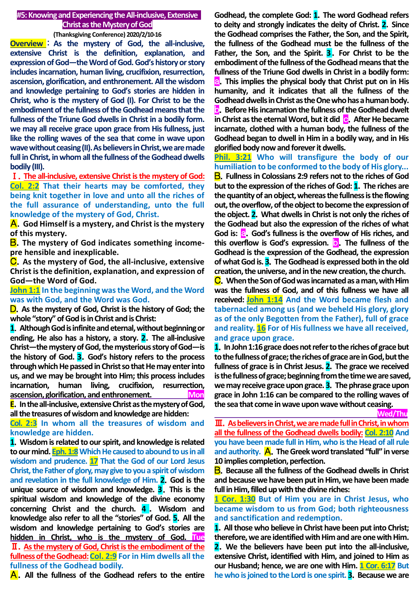#### **#5:Knowing and Experiencing the All-inclusive, Extensive Christ as the Mystery of God**

**(Thanksgiving Conference) 2020/2/10-16**

**Overview** : **As the mystery of God, the all-inclusive, extensive Christ is the definition, explanation, and expression of God—the Word of God. God's history or story includes incarnation, human living, crucifixion, resurrection, ascension, glorification, and enthronement. All the wisdom and knowledge pertaining to God's stories are hidden in Christ, who is the mystery of God (I). For Christ to be the embodiment of the fullness of the Godhead means that the fullness of the Triune God dwells in Christ in a bodily form. we may all receive grace upon grace from His fullness, just like the rolling waves of the sea that come in wave upon wave without ceasing (II).As believers in Christ, we are made full in Christ, in whom all the fullness of the Godhead dwells bodily (III).**

Ⅰ.**The all-inclusive, extensive Christ is the mystery of God: Col. 2:2 That their hearts may be comforted, they being knit together in love and unto all the riches of the full assurance of understanding, unto the full knowledge of the mystery of God, Christ.**

A.**God Himself is a mystery, and Christ is the mystery of this mystery.**

**B**. The mystery of God indicates something income**pre hensible and inexplicable.**

C.**As the mystery of God, the all-inclusive, extensive Christ is the definition, explanation, and expression of God—the Word of God.**

**John 1:1 In the beginning was the Word, and the Word was with God, and the Word was God.**

D.**As the mystery of God, Christ is the history of God; the whole "story" of God is in Christ and is Christ:**

**1**.**Although God is infinite and eternal, without beginning or ending, He also has a history, a story. 2**.**The all-inclusive Christ—the mystery of God, the mysterious story of God—is the history of God. 3**.**God's history refers to the process through which He passed in Christ so that He may enter into us, and we may be brought into Him; this process includes incarnation, human living, crucifixion, resurrection, ascension, glorification, and enthronement. Mon**

**E**.**In the all-inclusive, extensive Christ as the mystery of God, all the treasures of wisdom and knowledge are hidden:** 

**Col. 2:3 In whom all the treasures of wisdom and knowledge are hidden.**

**1**.**Wisdom is related to our spirit, and knowledge is related to our mind. Eph. 1:8Which He caused to abound to us in all wisdom and prudence. 17 That the God of our Lord Jesus Christ, the Father of glory, may give to you a spirit of wisdom and revelation in the full knowledge of Him. 2**.**God is the unique source of wisdom and knowledge. 3**.**This is the spiritual wisdom and knowledge of the divine economy concerning Christ and the church. 4** . **Wisdom and knowledge also refer to all the "stories" of God. 5**.**All the wisdom and knowledge pertaining to God's stories are hidden in Christ, who is the mystery of God. Tue**  Ⅱ.**As the mystery of God, Christ is the embodiment of the fullness of the Godhead:Col. 2:9 For in Him dwells all the fullness of the Godhead bodily.**

A.**All the fullness of the Godhead refers to the entire** 

**Godhead, the complete God: 1**.**The word Godhead refers to deity and strongly indicates the deity of Christ. 2**.**Since the Godhead comprises the Father, the Son, and the Spirit, the fullness of the Godhead must be the fullness of the Father, the Son, and the Spirit. 3**.**For Christ to be the embodiment of the fullness of the Godhead means that the fullness of the Triune God dwells in Christ in a bodily form:** a.**This implies the physical body that Christ put on in His humanity, and it indicates that all the fullness of the Godhead dwells in Christ as the One who has a human body. b**. Before His incarnation the fullness of the Godhead dwelt **in Christ as the eternal Word, but it did** c.**After He became incarnate, clothed with a human body, the fullness of the Godhead began to dwell in Him in a bodily way, and in His glorified body now and forever it dwells.**

**Phil. 3:21 Who will transfigure the body of our humiliation to be conformed to the body of His glory...** B.**Fullness in Colossians 2:9 refers not to the riches of God but to the expression of the riches of God: 1**.**The riches are the quantity of an object, whereas the fullness is the flowing out, the overflow, of the object to become the expression of the object. 2**.**What dwells in Christ is not only the riches of the Godhead but also the expression of the riches of what**  God is: **a.** God's fullness is the overflow of His riches, and **this overflow is God's expression.** b.**The fullness of the Godhead is the expression of the Godhead, the expression of what God is. 3**.**The Godhead is expressed both in the old creation, the universe, and in the new creation, the church.**

C.**When the Son of God was incarnated as a man, with Him was the fullness of God, and of this fullness we have all received: John 1:14 And the Word became flesh and tabernacled among us (and we beheld His glory, glory as of the only Begotten from the Father), full of grace and reality. 16 For of His fullness we have all received, and grace upon grace.**

**1**.**In John 1:16 grace does not refer to the riches of grace but to the fullnessof grace; the riches of grace are in God, but the fullness of grace is in Christ Jesus. 2**.**The grace we received is the fullness of grace; beginning from the time we are saved, we may receive grace upon grace. 3**.**The phrase grace upon grace in John 1:16 can be compared to the rolling waves of the sea that come in wave upon wave without ceasing.**

 **Wed/Thu**

Ⅲ.**As believers in Christ, we are made full in Christ, in whom all the fullness of the Godhead dwells bodily: Col. 2:10 And you have been made full in Him, who is the Head of all rule and authority.** A.**The Greek word translated "full" in verse 10 implies completion, perfection.**

B.**Because all the fullness of the Godhead dwells in Christ and because we have been put in Him, we have been made full in Him, filled up with the divine riches:**

**1 Cor. 1:30 But of Him you are in Christ Jesus, who became wisdom to us from God; both righteousness and sanctification and redemption.**

**1**.**All those who believe in Christ have been put into Christ; therefore, we are identified with Him and are one with Him. 2**.**We the believers have been put into the all-inclusive, extensive Christ, identified with Him, and joined to Him as our Husband; hence, we are one with Him. 1 Cor. 6:17 But he who is joined to the Lord is one spirit. 3**.**Because we are**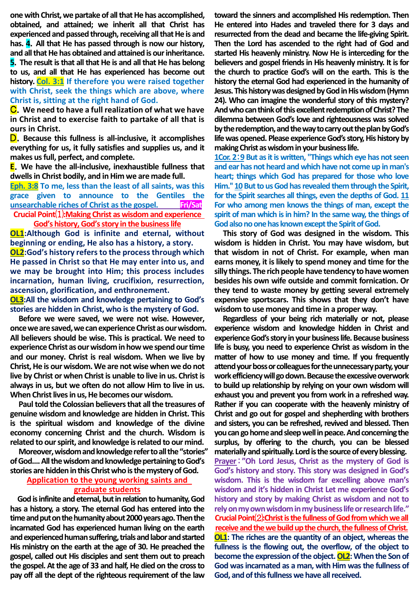**one with Christ, we partake of all that He has accomplished, obtained, and attained; we inherit all that Christ has experienced and passed through, receiving all that He is and has. 4**.**All that He has passed through is now our history, and all that He has obtained and attained is our inheritance. 5**.**The result is that all that He is and all that He has belong to us, and all that He has experienced has become out history. Col. 3:1 If therefore you were raised together with Christ, seek the things which are above, where Christ is, sitting at the right hand of God.**

C.**We need to have a full realization of what we have in Christ and to exercise faith to partake of all that is ours in Christ.**

D.**Because this fullness is all-inclusive, it accomplishes everything for us, it fully satisfies and supplies us, and it makes us full, perfect, and complete.**

**E**.**We have the all-inclusive, inexhaustible fullness that dwells in Christ bodily, and in Him we are made full.** 

**Eph. 3:8 To me, less than the least of all saints, was this grace given to announce to the Gentiles the unsearchable riches of Christ as the gospel. Fri/Sat Crucial Point**⑴**:Making Christ as wisdom and experience God's history, God's story in the business life**

**OL1:Although God is infinite and eternal, without beginning or ending, He also has a history, a story. OL2:God's history refers to the process through which He passed in Christ so that He may enter into us, and we may be brought into Him; this process includes incarnation, human living, crucifixion, resurrection, ascension, glorification, and enthronement.**

**OL3:All the wisdom and knowledge pertaining to God's stories are hidden in Christ, who is the mystery of God.**

**Before we were saved, we were not wise. However, once we are saved, we can experience Christ as our wisdom. All believers should be wise. This is practical. We need to experience Christ as our wisdom in how we spend our time and our money. Christ is real wisdom. When we live by Christ, He is our wisdom. We are not wise when we do not live by Christ or when Christ is unable to live in us. Christ is always in us, but we often do not allow Him to live in us. When Christ lives in us, He becomes our wisdom.**

**Paul told the Colossian believers that all the treasures of genuine wisdom and knowledge are hidden in Christ. This is the spiritual wisdom and knowledge of the divine economy concerning Christ and the church. Wisdom is related to our spirit, and knowledge is related to our mind.**

**Moreover, wisdom and knowledge refer to all the "stories" of God.... All the wisdom and knowledge pertaining to God's stories are hidden in this Christ who is the mystery of God.**

# **Application to the young working saints and graduate students**

**God is infinite and eternal, but in relation to humanity, God has a history, a story. The eternal God has entered into the time and put on the humanity about 2000 years ago. Then the incarnated God has experienced human living on the earth and experienced human suffering, trials and laborand started His ministry on the earth at the age of 30. He preached the gospel, called out His disciples and sent them out to preach the gospel. At the age of 33 and half, He died on the cross to pay off all the dept of the righteous requirement of the law** 

**toward the sinners and accomplished His redemption. Then He entered into Hades and traveled there for 3 days and resurrected from the dead and became the life-giving Spirit. Then the Lord has ascended to the right had of God and started His heavenly ministry. Now He is interceding for the believers and gospel friends in His heavenly ministry. It is for the church to practice God's will on the earth. This is the history the eternal God had experienced in the humanity of Jesus. This history was designed by God in His wisdom (Hymn 24). Who can imagine the wonderful story of this mystery? And who can think of this excellent redemption of Christ? The dilemma between God's love and righteousness was solved by the redemption, and the way to carry out the plan by God's life was opened. Please experience God's story, His history by making Christ as wisdom in your business life.**

**1Cor. 2**:**9 But as it is written, "Things which eye has not seen and ear has not heard and which have not come up in man's heart; things which God has prepared for those who love**  Him." 10 But to us God has revealed them through the Spirit, **for the Spirit searches all things, even the depths of God. 11 For who among men knows the things of man, except the spirit of man which is in him? In the same way, the things of God also no one has known except the Spirit of God.** 

**This story of God was designed in the wisdom. This wisdom is hidden in Christ. You may have wisdom, but that wisdom in not of Christ. For example, when man earns money, it is likely to spend money and time for the silly things. The rich people have tendency to have women besides his own wife outside and commit fornication. Or they tend to waste money by getting several extremely expensive sportscars. This shows that they don't have wisdom to use money and time in a proper way.** 

**Regardless of your being rich materially or not, please experience wisdom and knowledge hidden in Christ and**  experience God's story in your business life. Because business **life is busy, you need to experience Christ as wisdom in the matter of how to use money and time. If you frequently attend your boss or colleagues for the unnecessary party, your work efficiency will go down. Because the excessive overwork to build up relationship by relying on your own wisdom will exhaust you and prevent you from work in a refreshed way. Rather if you can cooperate with the heavenly ministry of Christ and go out for gospel and shepherding with brothers and sisters, you can be refreshed, revived and blessed. Then you can go home and sleep well in peace. And concerning the surplus, by offering to the church, you can be blessed materially and spiritually. Lord is the source of every blessing. Prayer**:**"Oh Lord Jesus, Christ as the mystery of God is God's history and story. This story was designed in God's wisdom. This is the wisdom far excelling above man's wisdom and it's hidden in Christ Let me experience God's history and story by making Christ as wisdom and not to rely on my own wisdom in my business life or research life." Crucial Point**⑵**:Christ is the fullness of God from which we all receive and the we build up the church, the fullness of Christ. OL1: The riches are the quantity of an object, whereas the fullness is the flowing out, the overflow, of the object to become the expression of the object. OL2: When the Son of God was incarnated as a man, with Him was the fullness of God, and of this fullness we have all received.**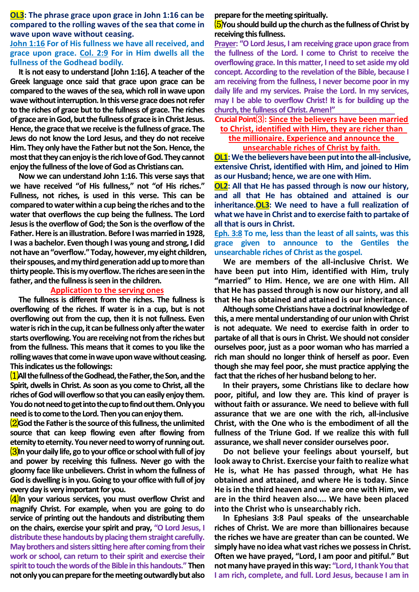**OL3: The phrase grace upon grace in John 1:16 can be compared to the rolling waves of the sea that come in wave upon wave without ceasing.**

## **John 1:16 For of His fullness we have all received, and grace upon grace. Col. 2:9 For in Him dwells all the fullness of the Godhead bodily.**

**It is not easy to understand [John 1:16]. A teacher of the Greek language once said that grace upon grace can be compared to the waves of the sea, which roll in wave upon wave without interruption. In this verse grace does not refer to the riches of grace but to the fullness of grace. The riches of grace are in God, but the fullness of grace is in Christ Jesus. Hence, the grace thatwe receive is the fullness of grace. The Jews do not know the Lord Jesus, and they do not receive Him. They only have the Father but not the Son. Hence, the most that they can enjoy is the rich love of God. They cannot enjoy the fullness of the love of God as Christians can.**

**Now we can understand John 1:16. This verse says that we have received "of His fullness," not "of His riches." Fullness, not riches, is used in this verse. This can be compared to water within a cup being the riches and to the water that overflows the cup being the fullness. The Lord Jesus is the overflow of God; the Son is the overflow of the Father. Here is an illustration. Before I was married in 1928, I was a bachelor. Even though I was young and strong, I did not have an "overflow." Today, however, my eight children, their spouses, and my third generation add up to more than thirty people. This is my overflow. The riches are seen in the father, and the fullness is seen in the children.**

## **Application to the serving ones**

**The fullness is different from the riches. The fullness is overflowing of the riches. If water is in a cup, but is not overflowing out from the cup, then it is not fullness. Even water is rich in the cup, it can be fullness only after the water starts overflowing. You are receiving not from the riches but from the fullness. This means that it comes to you like the rolling waves that come in wave upon wave without ceasing. This indicates us the followings:**

⑴**All the fullness of the Godhead, the Father, the Son, and the Spirit, dwells in Christ. As soon as you come to Christ, all the riches of God will overflow so that you can easily enjoy them. You do not need to get into the cup to find out them. Only you need is to come to the Lord. Then you can enjoy them.**

⑵**God the Father is the source of this fullness, the unlimited source that can keep flowing even after flowing from eternity to eternity. You never need to worry of running out.** ⑶**In your daily life, go to your office or school with full of joy and power by receiving this fullness. Never go with the gloomy face like unbelievers. Christ in whom the fullness of God is dwelling is in you. Going to your office with full of joy every day is very important for you.**

⑷**In your various services, you must overflow Christ and magnify Christ. For example, when you are going to do service of printing out the handouts and distributing them on the chairs, exercise your spirit and pray, "O Lord Jesus, I distribute these handouts by placing them straight carefully. May brothers and sisters sitting here after coming from their work or school, can return to their spirit and exercise their spirit to touch the words of the Bible in this handouts." Then not only you can prepare for the meeting outwardly but also** 

**prepare for the meeting spiritually.**

## ⑸**You should build up the church as the fullness of Christ by receiving this fullness.**

**Prayer: "O Lord Jesus, I am receiving grace upon grace from the fullness of the Lord. I come to Christ to receive the overflowing grace. In this matter, I need to set aside my old concept. According to the revelation of the Bible, because I am receiving from the fullness, I never become poor in my daily life and my services. Praise the Lord. In my services, may I be able to overflow Christ! It is for building up the church, the fullness of Christ. Amen!"**

# **Crucial Point**⑶**: Since the believers have been married**

## **to Christ, identified with Him, they are richer than the millionaire. Experience and announce the unsearchable riches of Christ by faith.**

**OL1: We the believers have been put into the all-inclusive, extensive Christ, identified with Him, and joined to Him as our Husband; hence, we are one with Him.**

**OL2: All that He has passed through is now our history, and all that He has obtained and attained is our inheritance.OL3: We need to have a full realization of what we have in Christ and to exercise faith to partake of all that is ours in Christ.**

**Eph. 3:8 To me, less than the least of all saints, was this grace given to announce to the Gentiles the unsearchable riches of Christ as the gospel.**

**We are members of the all-inclusive Christ. We have been put into Him, identified with Him, truly "married" to Him. Hence, we are one with Him. All that He has passed through is now our history, and all that He has obtained and attained is our inheritance.**

**Although some Christians have a doctrinal knowledge of this, a mere mental understanding of our union with Christ is not adequate. We need to exercise faith in order to partake of all that is ours in Christ. We should not consider ourselves poor, just as a poor woman who has married a rich man should no longer think of herself as poor. Even though she may feel poor, she must practice applying the fact that the riches of her husband belong to her.**

**In their prayers, some Christians like to declare how poor, pitiful, and low they are. This kind of prayer is without faith or assurance. We need to believe with full assurance that we are one with the rich, all-inclusive Christ, with the One who is the embodiment of all the fullness of the Triune God. If we realize this with full assurance, we shall never consider ourselves poor.**

**Do not believe your feelings about yourself, but look away to Christ. Exercise your faith to realize what He is, what He has passed through, what He has obtained and attained, and where He is today. Since He is in the third heaven and we are one with Him, we are in the third heaven also.... We have been placed into the Christ who is unsearchably rich.**

**In Ephesians 3:8 Paul speaks of the unsearchable riches of Christ. We are more than billionaires because the riches we have are greater than can be counted. We simply have no idea what vast riches we possess in Christ. Often we have prayed, "Lord, I am poor and pitiful." But not many have prayed in this way: "Lord, I thank You that I am rich, complete, and full. Lord Jesus, because I am in**